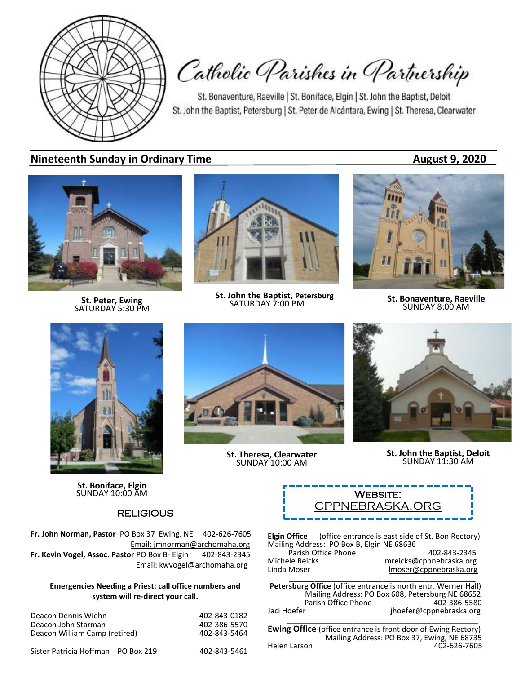

Catholic Parishes in Partnership

St. Bonaventure, Raeville | St. Boniface, Elgin | St. John the Baptist, Deloit St. John the Baptist, Petersburg | St. Peter de Alcántara, Ewing | St. Theresa, Clearwater

### **Nineteenth Sunday in Ordinary Time August 9, 2020**



**St. Peter, Ewing** SATURDAY 5:30 PM



**St. John the Baptist, Petersburg**<br>SATURDAY 7:00 PM



**SATURDAY 7:00 PM St. Bonaventure, Raeville**<br>SATURDAY 7:00 PM **SUNDAY 8:00 AM** 



**St. Boniface, Elgin**<br>SUNDAY 10:00 AM **WEBSITE:** 

### **RELIGIOUS**

**Fr. John Norman, Pastor** PO Box 37 Ewing, NE 402-626-7605 Email: jmnorman@archomaha.org **Fr. Kevin Vogel, Assoc. Pastor** PO Box B- Elgin 402-843-2345 Email: [kwvogel@archomaha.org](mailto:kwvogel@archomaha.org)

#### **Emergencies Needing a Priest: call office numbers and system will re-direct your call.**

Deacon Dennis Wiehn 1988 1892 1894 1897-843-0182<br>Deacon John Starman 1894 1897-886-5570 Deacon John Starman 1988 (1988)<br>Deacon William Camp (retired) 1988 (1988) 1988-843-5464 Deacon William Camp (retired)

Sister Patricia Hoffman PO Box 219 402-843-5461

**St. Theresa, Clearwater** SUNDAY 10:00 AM



**St. John the Baptist, Deloit** SUNDAY 11:30 AM

| <b>WEBSITE:</b> |
|-----------------|
| CPPNEBRASKA.ORG |
|                 |

**Elgin Office** (office entrance is east side of St. Bon Rectory) Mailing Address: PO Box B, Elgin NE 68636 Parish Office Phone 402-843-2345<br>mreicks@cppnebraska.org metalsone Michele Reicks material metricks@cppnebraska.org<br>Linda Moser material moser@cppnebraska.org lmoser@cppnebraska.org \_\_\_\_\_\_\_\_\_\_\_\_\_\_\_\_\_\_\_\_\_\_\_\_\_\_\_\_\_\_\_\_\_\_\_\_\_\_\_\_\_\_\_\_

**Petersburg Office** (office entrance is north entr. Werner Hall) Mailing Address: PO Box 608, Petersburg NE 68652 Parish Office Phone<br>Jaci Hoefer jhoefer@cppnebraska.org

\_\_\_\_\_\_\_\_\_\_\_\_\_\_\_\_\_\_\_\_\_\_\_\_\_\_\_\_\_\_\_\_\_\_\_\_\_\_\_\_\_ **Ewing Office** (office entrance is front door of Ewing Rectory) Mailing Address: PO Box 37, Ewing, NE 68735<br>Anglen Larson 402-626-7605 402-626-7605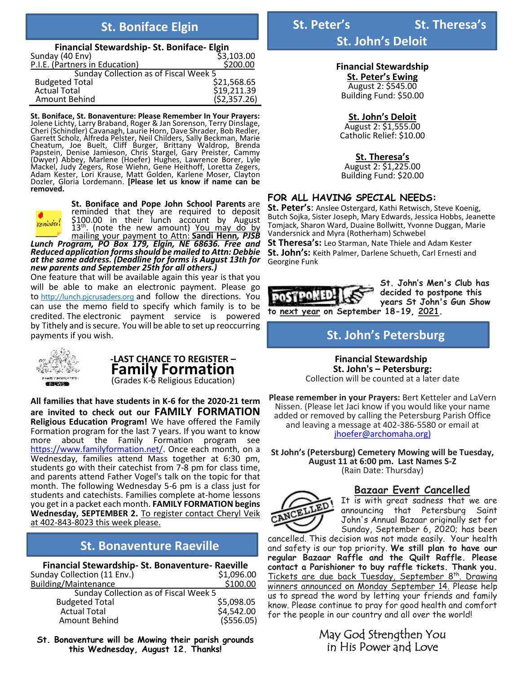| Financial Stewardship-St. Boniface-Elgin |              |  |  |  |
|------------------------------------------|--------------|--|--|--|
| Sunday (40 Env)                          | \$3,103.00   |  |  |  |
| P.I.E. (Partners in Education)           | \$200.00     |  |  |  |
| Sunday Collection as of Fiscal Week 5    |              |  |  |  |
| <b>Budgeted Total</b>                    | \$21,568.65  |  |  |  |
| <b>Actual Total</b>                      | \$19,211.39  |  |  |  |
| Amount Behind                            | (52, 357.26) |  |  |  |

**St. Boniface, St. Bonaventure: Please Remember In Your Prayers:** Jolene Lichty, Larry Braband, Roger & Jan Sorenson, Terry Dinslage, Cheri (Schindler) Cavanagh, Laurie Horn, Dave Shrader, Bob Redler, Garrett Scholz, Alfreda Pelster, Neil Childers, Sally Beckman, Marie Cheatum, Joe Buelt, Cliff Burger, Brittany Waldrop, Brenda Papstein, Denise Jamieson, Chris Stargel, Gary Preister, Cammy (Dwyer) Abbey, Marlene (Hoefer) Hughes, Lawrence Borer, Lyle Mackel, Judy Zegers, Rose Wiehn, Gene Heithoff, Loretta Zegers, Adam Kester, Lori Krause, Matt Golden, Karlene Moser, Clayton Dozler, Gloria Lordemann. **[Please let us know if name can be removed.**



**St. Boniface and Pope John School Parents** are reminded that they are required to deposit \$100.00 in their lunch account by August 13<sup>th</sup>. (note the new amount) You may do by mailing your payment to Attn: **Sandi Henn***, PJSB*

*Lunch Program, PO Box 179, Elgin, NE 68636. Free and Reduced application formsshould be mailed to Attn: Debbie at the same address. (Deadline for forms is August 13th for new parents and September 25th for all others.)*

One feature that will be available again this year is that you will be able to make an electronic payment. Please go to [http://lunch.pjcrusaders.org](https://eur06.safelinks.protection.outlook.com/?url=https%3A%2F%2Flunch.pjcrusaders.org%2F&data=02%7C01%7C%7C0093b2c14b3f43739d6008d82dc287ee%7C84df9e7fe9f640afb435aaaaaaaaaaaa%7C1%7C0%7C637309660806584175&sdata=wgyA4JAnVRZC10Q2Y%2Bsr0aQPJd9nlmTAdJO3Aqr4kU8%3D&reserved=0) and follow the directions. You can use the memo field to specify which family is to be credited. The electronic payment service is powered by Tithely and is secure. You will be able to set up reoccurring payments if you wish.



# **-LAST CHANCE TO REGISTER – Family Formation**

(Grades K-6 Religious Education)

**All families that have students in K-6 for the 2020-21 term are invited to check out our FAMILY FORMATION Religious Education Program!** We have offered the Family Formation program for the last 7 years. If you want to know more about the Family Formation program see [https://www.familyformation.net/.](https://www.familyformation.net/) Once each month, on a Wednesday, families attend Mass together at 6:30 pm, students go with their catechist from 7-8 pm for class time, and parents attend Father Vogel's talk on the topic for that month. The following Wednesday 5-6 pm is a class just for students and catechists. Families complete at-home lessons you get in a packet each month. **FAMILY FORMATION begins Wednesday, SEPTEMBER 2.** To register contact Cheryl Veik at 402-843-8023 this week please.

## **St. Bonaventure Raeville**

**Financial Stewardship- St. Bonaventure- Raeville** Sunday Collection (11 Env.)<br>Building/Maintenance 6100.00 Building/Maintenance Sunday Collection as of Fiscal Week 5 Budgeted Total \$5,098.05 Actual Total \$4,542.00 Amount Behind

**St. Bonaventure will be Mowing their parish grounds this Wednesday, August 12. Thanks!**

# **St. Boniface Elgin St. Peter's** St. Theresa's

**St. John's Deloit**

**Financial Stewardship St. Peter's Ewing**  August 2: \$545.00 Building Fund: \$50.00

**St. John's Deloit** August 2: \$1,555.00 Catholic Relief: \$10.00

**St. Theresa's** August 2: \$1,225.00 Building Fund: \$20.00

#### **FOR ALL HAVING SPECIAL NEEDS:**

**St. Peter's**: Anslee Ostergard, Kathi Retwisch, Steve Koenig, Butch Sojka, Sister Joseph, Mary Edwards, Jessica Hobbs, Jeanette Tomjack, Sharon Ward, Duaine Bollwitt, Yvonne Duggan, Marie Vandersnick and Myra (Rotherham) Schwebel

**St Theresa's:** Leo Starman, Nate Thiele and Adam Kester **St. John's:** Keith Palmer, Darlene Schueth, Carl Ernesti and Georgine Funk



**St. John's Men's Club has decided to postpone this years St John's Gun Show** 

**St. John's Petersburg**

 **Financial Stewardship St. John's – Petersburg:** Collection will be counted at a later date

**Please remember in your Prayers:** Bert Ketteler and LaVern Nissen. (Please let Jaci know if you would like your name added or removed by calling the Petersburg Parish Office and leaving a message at 402-386-5580 or email at [jhoefer@archomaha.org\)](mailto:jhoefer@archomaha.org)

**St John's (Petersburg) Cemetery Mowing will be Tuesday, August 11 at 6:00 pm. Last Names S-Z**  (Rain Date: Thursday)

### **Bazaar Event Cancelled**



It is with great sadness that we are announcing that Petersburg Saint John's Annual Bazaar originally set for Sunday, September 6, 2020; has been

cancelled. This decision was not made easily. Your health and safety is our top priority. **We still plan to have our regular Bazaar Raffle and the Quilt Raffle. Please contact a Parishioner to buy raffle tickets. Thank you.** Tickets are due back Tuesday, September 8<sup>th</sup>. Drawing winners announced on Monday September 14. Please help us to spread the word by letting your friends and family know. Please continue to pray for good health and comfort for the people in our country and all over the world!

> May God Strengthen You in His Power and Love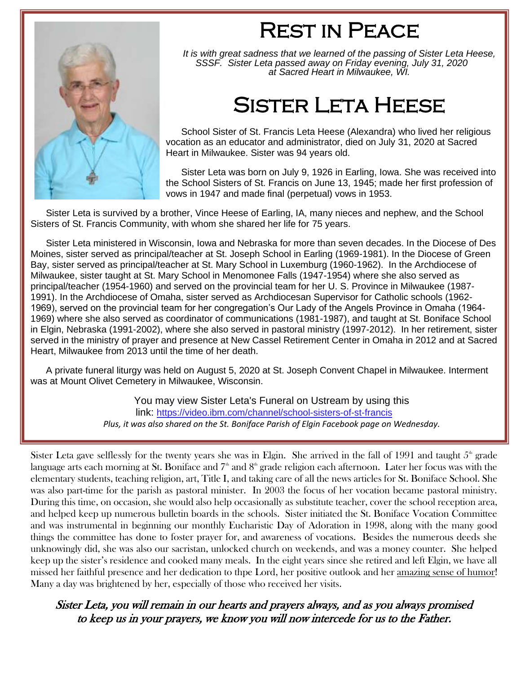

# Rest in Peace

*It is with great sadness that we learned of the passing of Sister Leta Heese, SSSF. Sister Leta passed away on Friday evening, July 31, 2020 at Sacred Heart in Milwaukee, WI.*

# Sister Leta Heese

School Sister of St. Francis Leta Heese (Alexandra) who lived her religious vocation as an educator and administrator, died on July 31, 2020 at Sacred Heart in Milwaukee. Sister was 94 years old.

Sister Leta was born on July 9, 1926 in Earling, Iowa. She was received into the School Sisters of St. Francis on June 13, 1945; made her first profession of vows in 1947 and made final (perpetual) vows in 1953.

Sister Leta is survived by a brother, Vince Heese of Earling, IA, many nieces and nephew, and the School Sisters of St. Francis Community, with whom she shared her life for 75 years.

Sister Leta ministered in Wisconsin, Iowa and Nebraska for more than seven decades. In the Diocese of Des Moines, sister served as principal/teacher at St. Joseph School in Earling (1969-1981). In the Diocese of Green Bay, sister served as principal/teacher at St. Mary School in Luxemburg (1960-1962). In the Archdiocese of Milwaukee, sister taught at St. Mary School in Menomonee Falls (1947-1954) where she also served as principal/teacher (1954-1960) and served on the provincial team for her U. S. Province in Milwaukee (1987- 1991). In the Archdiocese of Omaha, sister served as Archdiocesan Supervisor for Catholic schools (1962- 1969), served on the provincial team for her congregation's Our Lady of the Angels Province in Omaha (1964- 1969) where she also served as coordinator of communications (1981-1987), and taught at St. Boniface School in Elgin, Nebraska (1991-2002), where she also served in pastoral ministry (1997-2012). In her retirement, sister served in the ministry of prayer and presence at New Cassel Retirement Center in Omaha in 2012 and at Sacred Heart, Milwaukee from 2013 until the time of her death.

A private funeral liturgy was held on August 5, 2020 at St. Joseph Convent Chapel in Milwaukee. Interment was at Mount Olivet Cemetery in Milwaukee, Wisconsin.

> You may view Sister Leta's Funeral on Ustream by using this link: [https://video.ibm.com/channel/school-sisters-of-st-francis](http://r20.rs6.net/tn.jsp?f=001JjPHLRMGZhEWLoOVnzkiwYVC48Oe8W8rtc7wVfkGPMS-b5mZoHpYSOYnFkSKOolUgMw52_5BnnypfYXiIkdvJPDcBs2UNCXb6lMfXnIgW0iOVoN2vnTfvRw1rK_PvGCC_yvwZLNwJe077SHuU-PGceWJ0uJ-ZUmmitXXhyek_oMvjaGOP0QGDc81HQY41jcb&c=RyOtnaRLRrQeD4bY2LVddzIlhsGxK1JWniPJouX6JBBfjrGByBb8DA==&ch=jbT1_Y30KG0bAf5UYrMl7qRWCp1Uqi1IZv2U3Hnlb8hAMoRWlV-jnw==) *Plus, it was also shared on the St. Boniface Parish of Elgin Facebook page on Wednesday.*

Sister Leta gave selflessly for the twenty years she was in Elgin. She arrived in the fall of 1991 and taught  $5<sup>th</sup>$  grade language arts each morning at St. Boniface and  $7<sup>th</sup>$  and  $8<sup>th</sup>$  grade religion each afternoon. Later her focus was with the elementary students, teaching religion, art, Title I, and taking care of all the news articles for St. Boniface School. She was also part-time for the parish as pastoral minister. In 2003 the focus of her vocation became pastoral ministry. During this time, on occasion, she would also help occasionally as substitute teacher, cover the school reception area, and helped keep up numerous bulletin boards in the schools. Sister initiated the St. Boniface Vocation Committee and was instrumental in beginning our monthly Eucharistic Day of Adoration in 1998, along with the many good things the committee has done to foster prayer for, and awareness of vocations. Besides the numerous deeds she unknowingly did, she was also our sacristan, unlocked church on weekends, and was a money counter. She helped keep up the sister's residence and cooked many meals. In the eight years since she retired and left Elgin, we have all missed her faithful presence and her dedication to thpe Lord, her positive outlook and her amazing sense of humor! Many a day was brightened by her, especially of those who received her visits.

## Sister Leta, you will remain in our hearts and prayers always, and as you always promised to keep us in your prayers, we know you will now intercede for us to the Father.